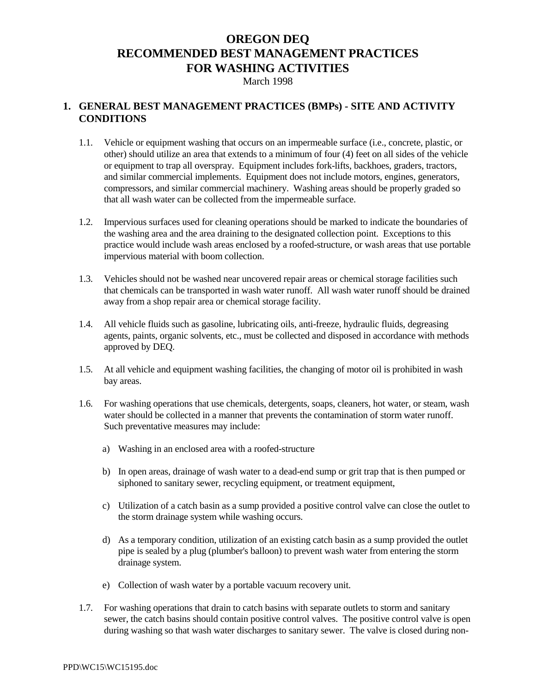# **OREGON DEQ RECOMMENDED BEST MANAGEMENT PRACTICES FOR WASHING ACTIVITIES**

March 1998

### **1. GENERAL BEST MANAGEMENT PRACTICES (BMPs) - SITE AND ACTIVITY CONDITIONS**

- 1.1. Vehicle or equipment washing that occurs on an impermeable surface (i.e., concrete, plastic, or other) should utilize an area that extends to a minimum of four (4) feet on all sides of the vehicle or equipment to trap all overspray. Equipment includes fork-lifts, backhoes, graders, tractors, and similar commercial implements. Equipment does not include motors, engines, generators, compressors, and similar commercial machinery. Washing areas should be properly graded so that all wash water can be collected from the impermeable surface.
- 1.2. Impervious surfaces used for cleaning operations should be marked to indicate the boundaries of the washing area and the area draining to the designated collection point. Exceptions to this practice would include wash areas enclosed by a roofed-structure, or wash areas that use portable impervious material with boom collection.
- 1.3. Vehicles should not be washed near uncovered repair areas or chemical storage facilities such that chemicals can be transported in wash water runoff. All wash water runoff should be drained away from a shop repair area or chemical storage facility.
- 1.4. All vehicle fluids such as gasoline, lubricating oils, anti-freeze, hydraulic fluids, degreasing agents, paints, organic solvents, etc., must be collected and disposed in accordance with methods approved by DEQ.
- 1.5. At all vehicle and equipment washing facilities, the changing of motor oil is prohibited in wash bay areas.
- 1.6. For washing operations that use chemicals, detergents, soaps, cleaners, hot water, or steam, wash water should be collected in a manner that prevents the contamination of storm water runoff. Such preventative measures may include:
	- a) Washing in an enclosed area with a roofed-structure
	- b) In open areas, drainage of wash water to a dead-end sump or grit trap that is then pumped or siphoned to sanitary sewer, recycling equipment, or treatment equipment,
	- c) Utilization of a catch basin as a sump provided a positive control valve can close the outlet to the storm drainage system while washing occurs.
	- d) As a temporary condition, utilization of an existing catch basin as a sump provided the outlet pipe is sealed by a plug (plumber's balloon) to prevent wash water from entering the storm drainage system.
	- e) Collection of wash water by a portable vacuum recovery unit.
- 1.7. For washing operations that drain to catch basins with separate outlets to storm and sanitary sewer, the catch basins should contain positive control valves. The positive control valve is open during washing so that wash water discharges to sanitary sewer. The valve is closed during non-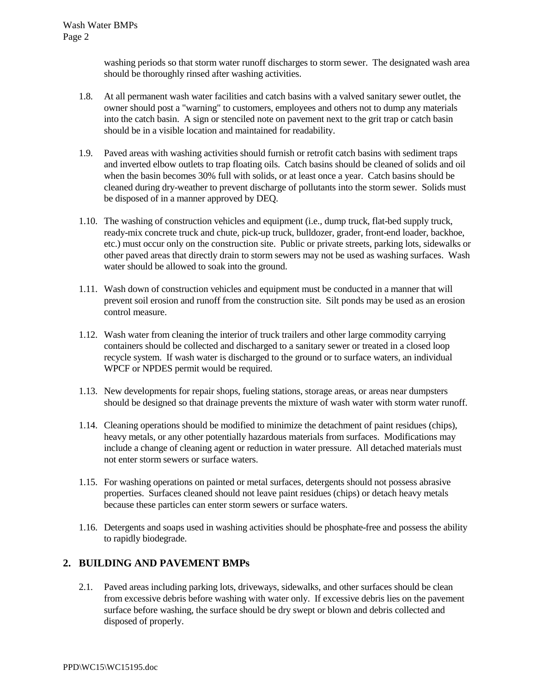washing periods so that storm water runoff discharges to storm sewer. The designated wash area should be thoroughly rinsed after washing activities.

- 1.8. At all permanent wash water facilities and catch basins with a valved sanitary sewer outlet, the owner should post a "warning" to customers, employees and others not to dump any materials into the catch basin. A sign or stenciled note on pavement next to the grit trap or catch basin should be in a visible location and maintained for readability.
- 1.9. Paved areas with washing activities should furnish or retrofit catch basins with sediment traps and inverted elbow outlets to trap floating oils. Catch basins should be cleaned of solids and oil when the basin becomes 30% full with solids, or at least once a year. Catch basins should be cleaned during dry-weather to prevent discharge of pollutants into the storm sewer. Solids must be disposed of in a manner approved by DEQ.
- 1.10. The washing of construction vehicles and equipment (i.e., dump truck, flat-bed supply truck, ready-mix concrete truck and chute, pick-up truck, bulldozer, grader, front-end loader, backhoe, etc.) must occur only on the construction site. Public or private streets, parking lots, sidewalks or other paved areas that directly drain to storm sewers may not be used as washing surfaces. Wash water should be allowed to soak into the ground.
- 1.11. Wash down of construction vehicles and equipment must be conducted in a manner that will prevent soil erosion and runoff from the construction site. Silt ponds may be used as an erosion control measure.
- 1.12. Wash water from cleaning the interior of truck trailers and other large commodity carrying containers should be collected and discharged to a sanitary sewer or treated in a closed loop recycle system. If wash water is discharged to the ground or to surface waters, an individual WPCF or NPDES permit would be required.
- 1.13. New developments for repair shops, fueling stations, storage areas, or areas near dumpsters should be designed so that drainage prevents the mixture of wash water with storm water runoff.
- 1.14. Cleaning operations should be modified to minimize the detachment of paint residues (chips), heavy metals, or any other potentially hazardous materials from surfaces. Modifications may include a change of cleaning agent or reduction in water pressure. All detached materials must not enter storm sewers or surface waters.
- 1.15. For washing operations on painted or metal surfaces, detergents should not possess abrasive properties. Surfaces cleaned should not leave paint residues (chips) or detach heavy metals because these particles can enter storm sewers or surface waters.
- 1.16. Detergents and soaps used in washing activities should be phosphate-free and possess the ability to rapidly biodegrade.

# **2. BUILDING AND PAVEMENT BMPs**

2.1. Paved areas including parking lots, driveways, sidewalks, and other surfaces should be clean from excessive debris before washing with water only. If excessive debris lies on the pavement surface before washing, the surface should be dry swept or blown and debris collected and disposed of properly.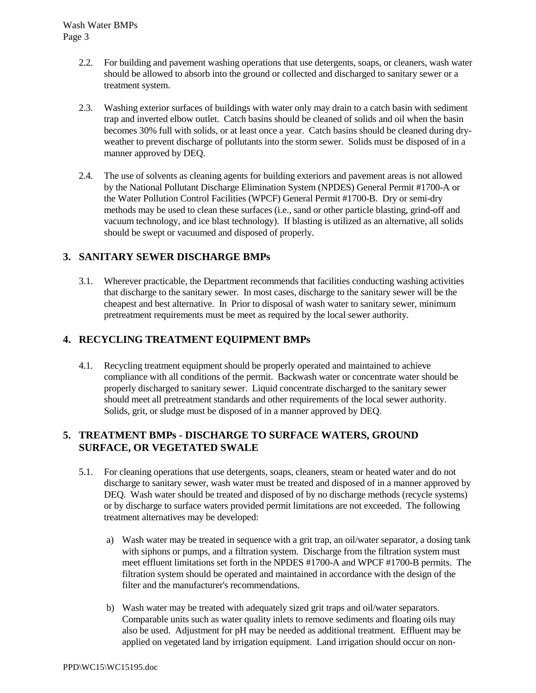- 2.2. For building and pavement washing operations that use detergents, soaps, or cleaners, wash water should be allowed to absorb into the ground or collected and discharged to sanitary sewer or a treatment system.
- 2.3. Washing exterior surfaces of buildings with water only may drain to a catch basin with sediment trap and inverted elbow outlet. Catch basins should be cleaned of solids and oil when the basin becomes 30% full with solids, or at least once a year. Catch basins should be cleaned during dryweather to prevent discharge of pollutants into the storm sewer. Solids must be disposed of in a manner approved by DEQ.
- 2.4. The use of solvents as cleaning agents for building exteriors and pavement areas is not allowed by the National Pollutant Discharge Elimination System (NPDES) General Permit #1700-A or the Water Pollution Control Facilities (WPCF) General Permit #1700-B. Dry or semi-dry methods may be used to clean these surfaces (i.e., sand or other particle blasting, grind-off and vacuum technology, and ice blast technology). If blasting is utilized as an alternative, all solids should be swept or vacuumed and disposed of properly.

### **3. SANITARY SEWER DISCHARGE BMPs**

3.1. Wherever practicable, the Department recommends that facilities conducting washing activities that discharge to the sanitary sewer. In most cases, discharge to the sanitary sewer will be the cheapest and best alternative. In Prior to disposal of wash water to sanitary sewer, minimum pretreatment requirements must be meet as required by the local sewer authority.

# **4. RECYCLING TREATMENT EQUIPMENT BMPs**

4.1. Recycling treatment equipment should be properly operated and maintained to achieve compliance with all conditions of the permit. Backwash water or concentrate water should be properly discharged to sanitary sewer. Liquid concentrate discharged to the sanitary sewer should meet all pretreatment standards and other requirements of the local sewer authority. Solids, grit, or sludge must be disposed of in a manner approved by DEQ.

### **5. TREATMENT BMPs - DISCHARGE TO SURFACE WATERS, GROUND SURFACE, OR VEGETATED SWALE**

- 5.1. For cleaning operations that use detergents, soaps, cleaners, steam or heated water and do not discharge to sanitary sewer, wash water must be treated and disposed of in a manner approved by DEQ. Wash water should be treated and disposed of by no discharge methods (recycle systems) or by discharge to surface waters provided permit limitations are not exceeded. The following treatment alternatives may be developed:
	- a) Wash water may be treated in sequence with a grit trap, an oil/water separator, a dosing tank with siphons or pumps, and a filtration system. Discharge from the filtration system must meet effluent limitations set forth in the NPDES #1700-A and WPCF #1700-B permits. The filtration system should be operated and maintained in accordance with the design of the filter and the manufacturer's recommendations.
	- b) Wash water may be treated with adequately sized grit traps and oil/water separators. Comparable units such as water quality inlets to remove sediments and floating oils may also be used. Adjustment for pH may be needed as additional treatment. Effluent may be applied on vegetated land by irrigation equipment. Land irrigation should occur on non-